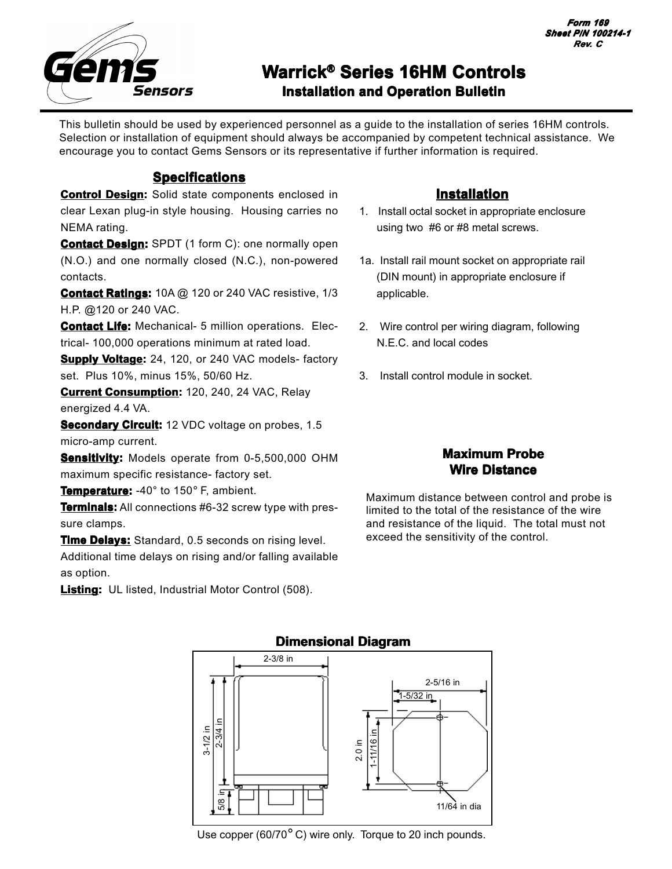

# **Warrick® Series 16HM Controls Installation and Operation Bulletin**

This bulletin should be used by experienced personnel as a guide to the installation of series 16HM controls.

Selection or installation of equipment should always be accompanied by competent technical assistance. We encourage you to contact Gems Sensors or its representative if further information is required.

### **Specifications**

**Control Design:** Solid state components enclosed in clear Lexan plug-in style housing. Housing carries no NEMA rating.

**Contact Design:** SPDT (1 form C): one normally open (N.O.) and one normally closed (N.C.), non-powered contacts.

**Contact Ratings:** 10A @ 120 or 240 VAC resistive, 1/3 H.P. @120 or 240 VAC.

**Contact Life:** Mechanical- 5 million operations. Electrical- 100,000 operations minimum at rated load.

**Supply Voltage:** 24, 120, or 240 VAC models- factory set. Plus 10%, minus 15%, 50/60 Hz.

**Current Consumption:** 120, 240, 24 VAC, Relay energized 4.4 VA.

**Secondary Circuit:** 12 VDC voltage on probes, 1.5 micro-amp current.

**Sensitivity:** Models operate from 0-5,500,000 OHM maximum specific resistance- factory set.

**Temperature:** -40° to 150° F, ambient.

**Terminals:** All connections #6-32 screw type with pressure clamps.

**Time Delays:** Standard, 0.5 seconds on rising level. Additional time delays on rising and/or falling available as option.

**Listing:** UL listed, Industrial Motor Control (508).

# **Installation**

- 1. Install octal socket in appropriate enclosure using two #6 or #8 metal screws.
- 1a. Install rail mount socket on appropriate rail (DIN mount) in appropriate enclosure if applicable.
- 2. Wire control per wiring diagram, following N.E.C. and local codes
- 3. Install control module in socket.

# **Maximum Probe Wire Distance**

Maximum distance between control and probe is limited to the total of the resistance of the wire and resistance of the liquid. The total must not exceed the sensitivity of the control.



#### Use copper (60/70 $^{\circ}$  C) wire only. Torque to 20 inch pounds.